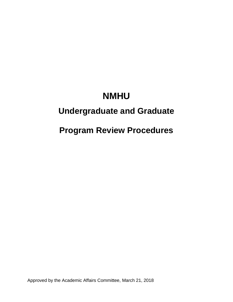# **NMHU**

## **Undergraduate and Graduate**

## **Program Review Procedures**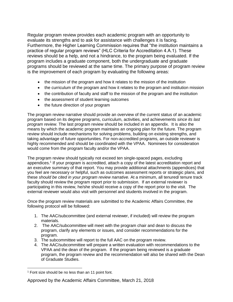Regular program review provides each academic program with an opportunity to evaluate its strengths and to ask for assistance with challenges it is facing. Furthermore, the Higher Learning Commission requires that "the institution maintains a practice of regular program reviews" (HLC Criteria for Accreditation 4.A.1). These reviews should be a help, and not a hindrance, to the program being evaluated. If the program includes a graduate component, both the undergraduate and graduate programs should be reviewed at the same time. The primary purpose of program review is the improvement of each program by evaluating the following areas:

- the mission of the program and how it relates to the mission of the institution
- the curriculum of the program and how it relates to the program and institution mission
- the contribution of faculty and staff to the mission of the program and the institution
- the assessment of student learning outcomes
- the future direction of your program

The program review narrative should provide an overview of the current status of an academic program based on its degree programs, curriculum, activities, and achievements *since its last program review.* The last program review should be included in an appendix. It is also the means by which the academic program maintains an ongoing plan for the future. The program review should include mechanisms for solving problems, building on existing strengths, and taking advantage of future opportunities. For non-accredited programs, an outside reviewer is highly recommended and should be coordinated with the VPAA. Nominees for consideration would come from the program faculty and/or the VPAA.

The program review should typically not exceed ten single-spaced pages, excluding appendices.<sup>1</sup> If your program is accredited, attach a copy of the latest accreditation report and an executive summary of that report. You may provide additional attachments (appendices) that you feel are necessary or helpful, such as outcomes assessment reports or strategic plans, and these *should be cited in your program review narrative.* At a minimum, all tenured/ tenure track faculty should review the program report prior to submission. If an external reviewer is participating in this review, he/she should receive a copy of the report prior to the visit. The external reviewer would also visit with personnel and students involved in the program.

Once the program review materials are submitted to the Academic Affairs Committee, the following protocol will be followed:

- 1. The AAC/subcommittee (and external reviewer, if included) will review the program materials.
- 2. The AAC/subcommittee will meet with the program chair and dean to discuss the program, clarify any elements or issues, and consider recommendations for the program.
- 3. The subcommittee will report to the full AAC on the program review.
- 4. The AAC/subcommittee will prepare a written evaluation with recommendations to the VPAA and the dean of the program. If the program being reviewed is a graduate program, the program review and the recommendation will also be shared with the Dean of Graduate Studies.

 $\overline{a}$ 

### Approved by the Academic Affairs Committee, March 21, 2018

<sup>1</sup> Font size should be no less than an 11 point font.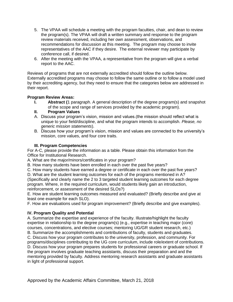- 5. The VPAA will schedule a meeting with the program faculties, chair, and dean to review the program(s). The VPAA will draft a written summary and response to the program review materials received, including her own assessment, observations, and recommendations for discussion at this meeting. The program may choose to invite representatives of the AAC if they desire. The external reviewer may participate by conference call, if desired.
- 6. After the meeting with the VPAA, a representative from the program will give a verbal report to the AAC.

Reviews of programs that are not externally accredited should follow the outline below. Externally accredited programs may choose to follow the same outline or to follow a model used by their accrediting agency, but they need to ensure that the categories below are addressed in their report.

### **Program Review Areas:**

- **I. Abstract (**1 paragraph. A general description of the degree program(s) and snapshot of the scope and range of services provided by the academic program).
- **II. Program Values**
- A. Discuss your program's vision, mission and values.(the mission should reflect what is unique to your field/discipline, and what the program intends to accomplish. *Please, no generic mission statements*).
- B. Discuss how your program's vision, mission and values are connected to the university's mission, core values, and four core traits.

#### **III. Program Competencies**

For A-C, please provide the information as a table. Please obtain this information from the Office for Institutional Research.

A. What are the major/minors/certificates in your program?

B. How many students have been enrolled in each over the past five years?

C. How many students have earned a degree or certificate in each over the past five years?

D. What are the student learning outcomes for each of the programs mentioned in A?

(Specifically and clearly name the 2 to 3 targeted student learning outcomes for each degree program. Where, in the required curriculum, would students likely gain an introduction, reinforcement, or assessment of the desired SLOs?)

E. How are student learning outcomes measured and evaluated? (Briefly describe and give at least one example for each SLO).

F. How are evaluations used for program improvement? (Briefly describe and give examples).

### **IV. Program Quality and Potential**

A. Summarize the expertise and experience of the faculty. Illustrate/highlight the faculty expertise in relationship to the degree program(s) (e.g., expertise in teaching major (core) courses, concentrations, and elective courses; mentoring UG/GR student research, etc.)

B. Summarize the accomplishments and contributions of faculty, students and graduates.

C. Discuss how your program contributes to the university, profession, and community. For programs/disciplines contributing to the UG core curriculum, include role/extent of contributions.

D. Discuss how your program prepares students for professional careers or graduate school. If the program involves graduate teaching assistants, discuss their preparation and and the mentoring provided by faculty. Address mentoring research assistants and graduate assistants in light of professional support.